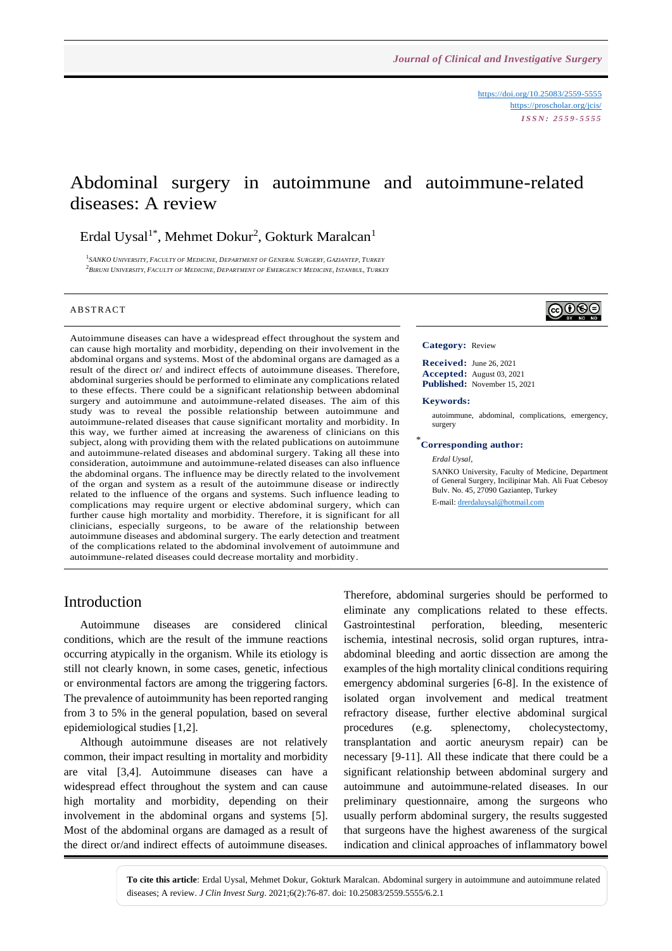<https://doi.org/10.25083/2559-5555> <https://proscholar.org/jcis/> *I S S N : 2 5 5 9 - 5 5 5 5*

# Abdominal surgery in autoimmune and autoimmune-related diseases: A review

### Erdal Uysal<sup>1\*</sup>, Mehmet Dokur<sup>2</sup>, Gokturk Maralcan<sup>1</sup>

<sup>1</sup>SANKO UNIVERSITY, FACULTY OF MEDICINE, DEPARTMENT OF GENERAL SURGERY, GAZIANTEP, TURKEY  $^2$ Biruni University, Faculty of Medicine, Department of Emergency Medicine, Istanbul, Turkey

#### **ABSTRACT**

Autoimmune diseases can have a widespread effect throughout the system and can cause high mortality and morbidity, depending on their involvement in the abdominal organs and systems. Most of the abdominal organs are damaged as a result of the direct or/ and indirect effects of autoimmune diseases. Therefore, abdominal surgeries should be performed to eliminate any complications related to these effects. There could be a significant relationship between abdominal surgery and autoimmune and autoimmune-related diseases. The aim of this study was to reveal the possible relationship between autoimmune and autoimmune-related diseases that cause significant mortality and morbidity. In this way, we further aimed at increasing the awareness of clinicians on this subject, along with providing them with the related publications on autoimmune and autoimmune-related diseases and abdominal surgery. Taking all these into consideration, autoimmune and autoimmune-related diseases can also influence the abdominal organs. The influence may be directly related to the involvement of the organ and system as a result of the autoimmune disease or indirectly related to the influence of the organs and systems. Such influence leading to complications may require urgent or elective abdominal surgery, which can further cause high mortality and morbidity. Therefore, it is significant for all clinicians, especially surgeons, to be aware of the relationship between autoimmune diseases and abdominal surgery. The early detection and treatment of the complications related to the abdominal involvement of autoimmune and autoimmune-related diseases could decrease mortality and morbidity.

# ெ⊕

#### **Category:** Review

**Received:** June 26, 2021 **Accepted:** August 03, 2021 **Published:** November 15, 2021

#### **Keywords:**

autoimmune, abdominal, complications, emergency, surgery

#### \* **Corresponding author:**

*Erdal Uysal,*

SANKO University, Faculty of Medicine, Department of General Surgery, Incilipinar Mah. Ali Fuat Cebesoy Bulv. No. 45, 27090 Gaziantep, Turkey E-mail: [drerdaluysal@hotmail.com](mailto:drerdaluysal@hotmail.com)

### Introduction

Autoimmune diseases are considered clinical conditions, which are the result of the immune reactions occurring atypically in the organism. While its etiology is still not clearly known, in some cases, genetic, infectious or environmental factors are among the triggering factors. The prevalence of autoimmunity has been reported ranging from 3 to 5% in the general population, based on several epidemiological studies [1,2].

Although autoimmune diseases are not relatively common, their impact resulting in mortality and morbidity are vital [3,4]. Autoimmune diseases can have a widespread effect throughout the system and can cause high mortality and morbidity, depending on their involvement in the abdominal organs and systems [5]. Most of the abdominal organs are damaged as a result of the direct or/and indirect effects of autoimmune diseases. Therefore, abdominal surgeries should be performed to eliminate any complications related to these effects. Gastrointestinal perforation, bleeding, mesenteric ischemia, intestinal necrosis, solid organ ruptures, intraabdominal bleeding and aortic dissection are among the examples of the high mortality clinical conditions requiring emergency abdominal surgeries [6-8]. In the existence of isolated organ involvement and medical treatment refractory disease, further elective abdominal surgical procedures (e.g. splenectomy, cholecystectomy, transplantation and aortic aneurysm repair) can be necessary [9-11]. All these indicate that there could be a significant relationship between abdominal surgery and autoimmune and autoimmune-related diseases. In our preliminary questionnaire, among the surgeons who usually perform abdominal surgery, the results suggested that surgeons have the highest awareness of the surgical indication and clinical approaches of inflammatory bowel

**To cite this article**: Erdal Uysal, Mehmet Dokur, Gokturk Maralcan. Abdominal surgery in autoimmune and autoimmune related diseases; A review. *J Clin Invest Surg*. 2021;6(2):76-87. doi: 10.25083/2559.5555/6.2.1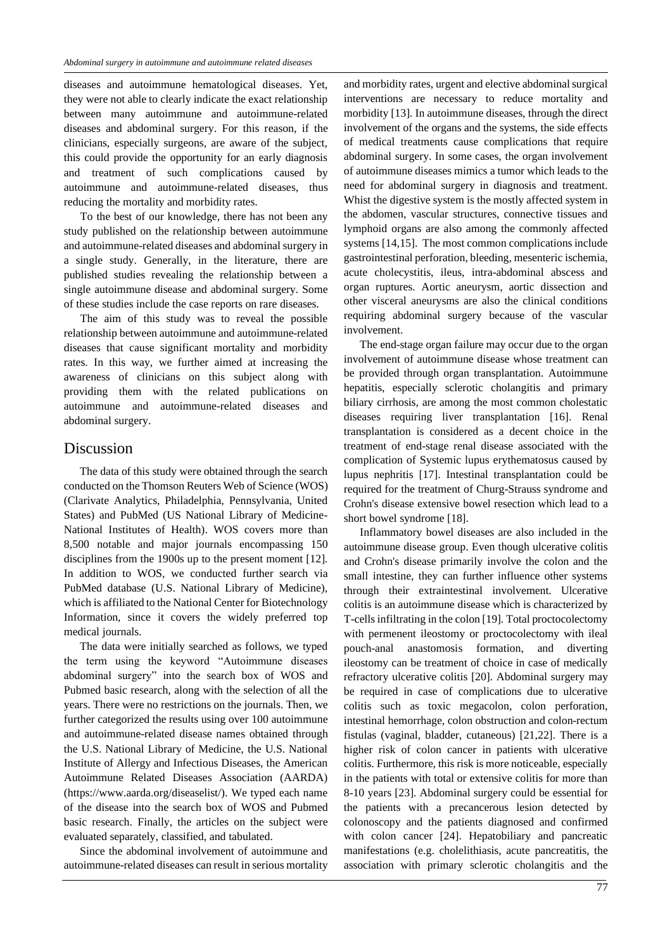diseases and autoimmune hematological diseases. Yet, they were not able to clearly indicate the exact relationship between many autoimmune and autoimmune-related diseases and abdominal surgery. For this reason, if the clinicians, especially surgeons, are aware of the subject, this could provide the opportunity for an early diagnosis and treatment of such complications caused by autoimmune and autoimmune-related diseases, thus reducing the mortality and morbidity rates.

To the best of our knowledge, there has not been any study published on the relationship between autoimmune and autoimmune-related diseases and abdominal surgery in a single study. Generally, in the literature, there are published studies revealing the relationship between a single autoimmune disease and abdominal surgery. Some of these studies include the case reports on rare diseases.

The aim of this study was to reveal the possible relationship between autoimmune and autoimmune-related diseases that cause significant mortality and morbidity rates. In this way, we further aimed at increasing the awareness of clinicians on this subject along with providing them with the related publications on autoimmune and autoimmune-related diseases and abdominal surgery.

### Discussion

The data of this study were obtained through the search conducted on the Thomson Reuters Web of Science (WOS) (Clarivate Analytics, Philadelphia, Pennsylvania, United States) and PubMed (US National Library of Medicine-National Institutes of Health). WOS covers more than 8,500 notable and major journals encompassing 150 disciplines from the 1900s up to the present moment [12]. In addition to WOS, we conducted further search via PubMed database (U.S. National Library of Medicine), which is affiliated to the National Center for Biotechnology Information, since it covers the widely preferred top medical journals.

The data were initially searched as follows, we typed the term using the keyword "Autoimmune diseases abdominal surgery" into the search box of WOS and Pubmed basic research, along with the selection of all the years. There were no restrictions on the journals. Then, we further categorized the results using over 100 autoimmune and autoimmune-related disease names obtained through the U.S. National Library of Medicine, the U.S. National Institute of Allergy and Infectious Diseases, the American Autoimmune Related Diseases Association (AARDA) (https://www.aarda.org/diseaselist/). We typed each name of the disease into the search box of WOS and Pubmed basic research. Finally, the articles on the subject were evaluated separately, classified, and tabulated.

Since the abdominal involvement of autoimmune and autoimmune-related diseases can result in serious mortality

and morbidity rates, urgent and elective abdominal surgical interventions are necessary to reduce mortality and morbidity [13]. In autoimmune diseases, through the direct involvement of the organs and the systems, the side effects of medical treatments cause complications that require abdominal surgery. In some cases, the organ involvement of autoimmune diseases mimics a tumor which leads to the need for abdominal surgery in diagnosis and treatment. Whist the digestive system is the mostly affected system in the abdomen, vascular structures, connective tissues and lymphoid organs are also among the commonly affected systems [14,15]. The most common complications include gastrointestinal perforation, bleeding, mesenteric ischemia, acute cholecystitis, ileus, intra-abdominal abscess and organ ruptures. Aortic aneurysm, aortic dissection and other visceral aneurysms are also the clinical conditions requiring abdominal surgery because of the vascular involvement.

The end-stage organ failure may occur due to the organ involvement of autoimmune disease whose treatment can be provided through organ transplantation. Autoimmune hepatitis, especially sclerotic cholangitis and primary biliary cirrhosis, are among the most common cholestatic diseases requiring liver transplantation [16]. Renal transplantation is considered as a decent choice in the treatment of end-stage renal disease associated with the complication of Systemic lupus erythematosus caused by lupus nephritis [17]. Intestinal transplantation could be required for the treatment of Churg-Strauss syndrome and Crohn's disease extensive bowel resection which lead to a short bowel syndrome [18].

Inflammatory bowel diseases are also included in the autoimmune disease group. Even though ulcerative colitis and Crohn's disease primarily involve the colon and the small intestine, they can further influence other systems through their extraintestinal involvement. Ulcerative colitis is an autoimmune disease which is characterized by T-cells infiltrating in the colon [19]. Total proctocolectomy with permenent ileostomy or proctocolectomy with ileal pouch-anal anastomosis formation, and diverting ileostomy can be treatment of choice in case of medically refractory ulcerative colitis [20]. Abdominal surgery may be required in case of complications due to ulcerative colitis such as toxic megacolon, colon perforation, intestinal hemorrhage, colon obstruction and colon-rectum fistulas (vaginal, bladder, cutaneous) [21,22]. There is a higher risk of colon cancer in patients with ulcerative colitis. Furthermore, this risk is more noticeable, especially in the patients with total or extensive colitis for more than 8-10 years [23]. Abdominal surgery could be essential for the patients with a precancerous lesion detected by colonoscopy and the patients diagnosed and confirmed with colon cancer [24]. Hepatobiliary and pancreatic manifestations (e.g. cholelithiasis, acute pancreatitis, the association with primary sclerotic cholangitis and the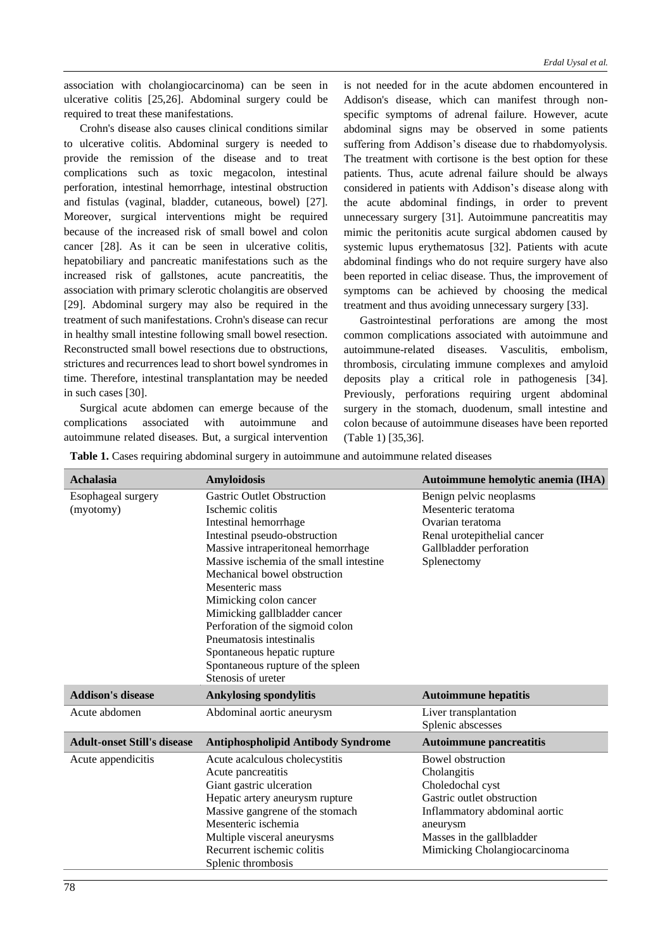association with cholangiocarcinoma) can be seen in ulcerative colitis [25,26]. Abdominal surgery could be required to treat these manifestations.

Crohn's disease also causes clinical conditions similar to ulcerative colitis. Abdominal surgery is needed to provide the remission of the disease and to treat complications such as toxic megacolon, intestinal perforation, intestinal hemorrhage, intestinal obstruction and fistulas (vaginal, bladder, cutaneous, bowel) [27]. Moreover, surgical interventions might be required because of the increased risk of small bowel and colon cancer [28]. As it can be seen in ulcerative colitis, hepatobiliary and pancreatic manifestations such as the increased risk of gallstones, acute pancreatitis, the association with primary sclerotic cholangitis are observed [29]. Abdominal surgery may also be required in the treatment of such manifestations. Crohn's disease can recur in healthy small intestine following small bowel resection. Reconstructed small bowel resections due to obstructions, strictures and recurrences lead to short bowel syndromes in time. Therefore, intestinal transplantation may be needed in such cases [30].

Surgical acute abdomen can emerge because of the complications associated with autoimmune and autoimmune related diseases. But, a surgical intervention is not needed for in the acute abdomen encountered in Addison's disease, which can manifest through nonspecific symptoms of adrenal failure. However, acute abdominal signs may be observed in some patients suffering from Addison's disease due to rhabdomyolysis. The treatment with cortisone is the best option for these patients. Thus, acute adrenal failure should be always considered in patients with Addison's disease along with the acute abdominal findings, in order to prevent unnecessary surgery [31]. Autoimmune pancreatitis may mimic the peritonitis acute surgical abdomen caused by systemic lupus erythematosus [32]. Patients with acute abdominal findings who do not require surgery have also been reported in celiac disease. Thus, the improvement of symptoms can be achieved by choosing the medical treatment and thus avoiding unnecessary surgery [33].

Gastrointestinal perforations are among the most common complications associated with autoimmune and autoimmune-related diseases. Vasculitis, embolism, thrombosis, circulating immune complexes and amyloid deposits play a critical role in pathogenesis [34]. Previously, perforations requiring urgent abdominal surgery in the stomach, duodenum, small intestine and colon because of autoimmune diseases have been reported (Table 1) [35,36].

**Table 1.** Cases requiring abdominal surgery in autoimmune and autoimmune related diseases

| Achalasia                          | <b>Amyloidosis</b>                        | Autoimmune hemolytic anemia (IHA) |
|------------------------------------|-------------------------------------------|-----------------------------------|
| Esophageal surgery                 | <b>Gastric Outlet Obstruction</b>         | Benign pelvic neoplasms           |
| (myotomy)                          | Ischemic colitis                          | Mesenteric teratoma               |
|                                    | Intestinal hemorrhage                     | Ovarian teratoma                  |
|                                    | Intestinal pseudo-obstruction             | Renal urotepithelial cancer       |
|                                    | Massive intraperitoneal hemorrhage        | Gallbladder perforation           |
|                                    | Massive ischemia of the small intestine   | Splenectomy                       |
|                                    | Mechanical bowel obstruction              |                                   |
|                                    | Mesenteric mass                           |                                   |
|                                    | Mimicking colon cancer                    |                                   |
|                                    | Mimicking gallbladder cancer              |                                   |
|                                    | Perforation of the sigmoid colon          |                                   |
|                                    | Pneumatosis intestinalis                  |                                   |
|                                    | Spontaneous hepatic rupture               |                                   |
|                                    | Spontaneous rupture of the spleen         |                                   |
|                                    | Stenosis of ureter                        |                                   |
| <b>Addison's disease</b>           | <b>Ankylosing spondylitis</b>             | <b>Autoimmune hepatitis</b>       |
| Acute abdomen                      | Abdominal aortic aneurysm                 | Liver transplantation             |
|                                    |                                           | Splenic abscesses                 |
| <b>Adult-onset Still's disease</b> | <b>Antiphospholipid Antibody Syndrome</b> | <b>Autoimmune pancreatitis</b>    |
| Acute appendicitis                 | Acute acalculous cholecystitis            | <b>Bowel obstruction</b>          |
|                                    | Acute pancreatitis                        | Cholangitis                       |
|                                    | Giant gastric ulceration                  | Choledochal cyst                  |
|                                    | Hepatic artery aneurysm rupture           | Gastric outlet obstruction        |
|                                    | Massive gangrene of the stomach           | Inflammatory abdominal aortic     |
|                                    | Mesenteric ischemia                       | aneurysm                          |
|                                    | Multiple visceral aneurysms               | Masses in the gallbladder         |
|                                    | Recurrent ischemic colitis                | Mimicking Cholangiocarcinoma      |
|                                    | Splenic thrombosis                        |                                   |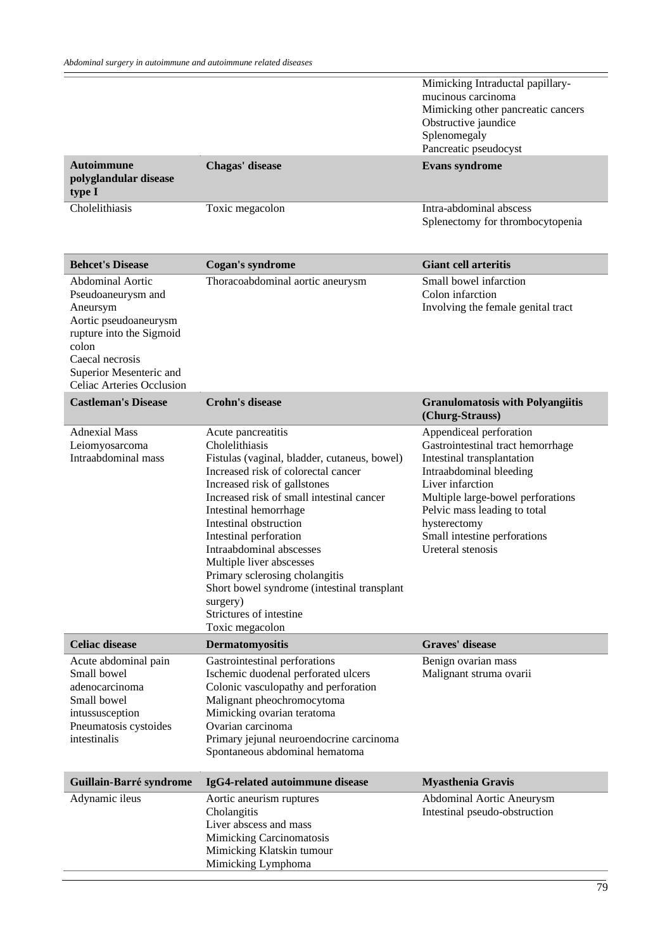|                                                                                                                                                                                                           |                                                                                                                                                                                                                                                                                                                                                                                                                                                                                          | Mimicking Intraductal papillary-<br>mucinous carcinoma<br>Mimicking other pancreatic cancers<br>Obstructive jaundice<br>Splenomegaly<br>Pancreatic pseudocyst                                                                                                                       |
|-----------------------------------------------------------------------------------------------------------------------------------------------------------------------------------------------------------|------------------------------------------------------------------------------------------------------------------------------------------------------------------------------------------------------------------------------------------------------------------------------------------------------------------------------------------------------------------------------------------------------------------------------------------------------------------------------------------|-------------------------------------------------------------------------------------------------------------------------------------------------------------------------------------------------------------------------------------------------------------------------------------|
| <b>Autoimmune</b><br>polyglandular disease<br>type I                                                                                                                                                      | Chagas' disease                                                                                                                                                                                                                                                                                                                                                                                                                                                                          | <b>Evans syndrome</b>                                                                                                                                                                                                                                                               |
| Cholelithiasis                                                                                                                                                                                            | Toxic megacolon                                                                                                                                                                                                                                                                                                                                                                                                                                                                          | Intra-abdominal abscess<br>Splenectomy for thrombocytopenia                                                                                                                                                                                                                         |
| <b>Behcet's Disease</b>                                                                                                                                                                                   | <b>Cogan's syndrome</b>                                                                                                                                                                                                                                                                                                                                                                                                                                                                  | <b>Giant cell arteritis</b>                                                                                                                                                                                                                                                         |
| <b>Abdominal Aortic</b><br>Pseudoaneurysm and<br>Aneursym<br>Aortic pseudoaneurysm<br>rupture into the Sigmoid<br>colon<br>Caecal necrosis<br>Superior Mesenteric and<br><b>Celiac Arteries Occlusion</b> | Thoracoabdominal aortic aneurysm                                                                                                                                                                                                                                                                                                                                                                                                                                                         | Small bowel infarction<br>Colon infarction<br>Involving the female genital tract                                                                                                                                                                                                    |
| <b>Castleman's Disease</b>                                                                                                                                                                                | <b>Crohn's disease</b>                                                                                                                                                                                                                                                                                                                                                                                                                                                                   | <b>Granulomatosis with Polyangiitis</b><br>(Churg-Strauss)                                                                                                                                                                                                                          |
| <b>Adnexial Mass</b><br>Leiomyosarcoma<br>Intraabdominal mass                                                                                                                                             | Acute pancreatitis<br>Cholelithiasis<br>Fistulas (vaginal, bladder, cutaneus, bowel)<br>Increased risk of colorectal cancer<br>Increased risk of gallstones<br>Increased risk of small intestinal cancer<br>Intestinal hemorrhage<br>Intestinal obstruction<br>Intestinal perforation<br>Intraabdominal abscesses<br>Multiple liver abscesses<br>Primary sclerosing cholangitis<br>Short bowel syndrome (intestinal transplant<br>surgery)<br>Strictures of intestine<br>Toxic megacolon | Appendiceal perforation<br>Gastrointestinal tract hemorrhage<br>Intestinal transplantation<br>Intraabdominal bleeding<br>Liver infarction<br>Multiple large-bowel perforations<br>Pelvic mass leading to total<br>hysterectomy<br>Small intestine perforations<br>Ureteral stenosis |
| <b>Celiac disease</b>                                                                                                                                                                                     | <b>Dermatomyositis</b>                                                                                                                                                                                                                                                                                                                                                                                                                                                                   | <b>Graves' disease</b>                                                                                                                                                                                                                                                              |
| Acute abdominal pain<br>Small bowel<br>adenocarcinoma<br>Small bowel<br>intussusception<br>Pneumatosis cystoides<br>intestinalis                                                                          | Gastrointestinal perforations<br>Ischemic duodenal perforated ulcers<br>Colonic vasculopathy and perforation<br>Malignant pheochromocytoma<br>Mimicking ovarian teratoma<br>Ovarian carcinoma<br>Primary jejunal neuroendocrine carcinoma<br>Spontaneous abdominal hematoma                                                                                                                                                                                                              | Benign ovarian mass<br>Malignant struma ovarii                                                                                                                                                                                                                                      |
| Guillain-Barré syndrome                                                                                                                                                                                   | IgG4-related autoimmune disease                                                                                                                                                                                                                                                                                                                                                                                                                                                          | <b>Myasthenia Gravis</b>                                                                                                                                                                                                                                                            |
| Adynamic ileus                                                                                                                                                                                            | Aortic aneurism ruptures<br>Cholangitis<br>Liver abscess and mass                                                                                                                                                                                                                                                                                                                                                                                                                        | Abdominal Aortic Aneurysm<br>Intestinal pseudo-obstruction                                                                                                                                                                                                                          |

Mimicking Carcinomatosis Mimicking Klatskin tumour Mimicking Lymphoma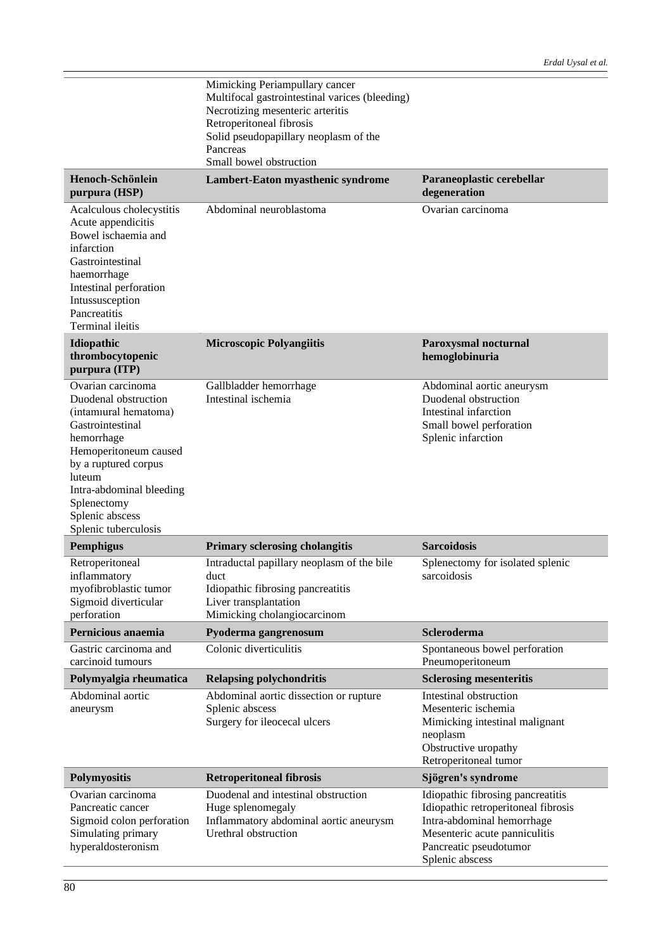|                                                                                                                                                                                                                                                       | Mimicking Periampullary cancer<br>Multifocal gastrointestinal varices (bleeding)<br>Necrotizing mesenteric arteritis<br>Retroperitoneal fibrosis<br>Solid pseudopapillary neoplasm of the<br>Pancreas<br>Small bowel obstruction |                                                                                                                                                                                      |
|-------------------------------------------------------------------------------------------------------------------------------------------------------------------------------------------------------------------------------------------------------|----------------------------------------------------------------------------------------------------------------------------------------------------------------------------------------------------------------------------------|--------------------------------------------------------------------------------------------------------------------------------------------------------------------------------------|
| Henoch-Schönlein<br>purpura (HSP)                                                                                                                                                                                                                     | Lambert-Eaton myasthenic syndrome                                                                                                                                                                                                | Paraneoplastic cerebellar<br>degeneration                                                                                                                                            |
| Acalculous cholecystitis<br>Acute appendicitis<br>Bowel ischaemia and<br>infarction<br>Gastrointestinal<br>haemorrhage<br>Intestinal perforation<br>Intussusception<br>Pancreatitis<br>Terminal ileitis                                               | Abdominal neuroblastoma                                                                                                                                                                                                          | Ovarian carcinoma                                                                                                                                                                    |
| Idiopathic<br>thrombocytopenic<br>purpura (ITP)                                                                                                                                                                                                       | <b>Microscopic Polyangiitis</b>                                                                                                                                                                                                  | Paroxysmal nocturnal<br>hemoglobinuria                                                                                                                                               |
| Ovarian carcinoma<br>Duodenal obstruction<br>(intamiural hematoma)<br>Gastrointestinal<br>hemorrhage<br>Hemoperitoneum caused<br>by a ruptured corpus<br>luteum<br>Intra-abdominal bleeding<br>Splenectomy<br>Splenic abscess<br>Splenic tuberculosis | Gallbladder hemorrhage<br>Intestinal ischemia                                                                                                                                                                                    | Abdominal aortic aneurysm<br>Duodenal obstruction<br>Intestinal infarction<br>Small bowel perforation<br>Splenic infarction                                                          |
| <b>Pemphigus</b>                                                                                                                                                                                                                                      | <b>Primary sclerosing cholangitis</b>                                                                                                                                                                                            | <b>Sarcoidosis</b>                                                                                                                                                                   |
| Retroperitoneal<br>inflammatory<br>myofibroblastic tumor<br>Sigmoid diverticular<br>perforation                                                                                                                                                       | Intraductal papillary neoplasm of the bile<br>duct<br>Idiopathic fibrosing pancreatitis<br>Liver transplantation<br>Mimicking cholangiocarcinom                                                                                  | Splenectomy for isolated splenic<br>sarcoidosis                                                                                                                                      |
| Pernicious anaemia                                                                                                                                                                                                                                    | Pyoderma gangrenosum                                                                                                                                                                                                             | Scleroderma                                                                                                                                                                          |
| Gastric carcinoma and<br>carcinoid tumours                                                                                                                                                                                                            | Colonic diverticulitis                                                                                                                                                                                                           | Spontaneous bowel perforation<br>Pneumoperitoneum                                                                                                                                    |
| Polymyalgia rheumatica                                                                                                                                                                                                                                | <b>Relapsing polychondritis</b>                                                                                                                                                                                                  | <b>Sclerosing mesenteritis</b>                                                                                                                                                       |
| Abdominal aortic<br>aneurysm                                                                                                                                                                                                                          | Abdominal aortic dissection or rupture<br>Splenic abscess<br>Surgery for ileocecal ulcers                                                                                                                                        | Intestinal obstruction<br>Mesenteric ischemia<br>Mimicking intestinal malignant<br>neoplasm<br>Obstructive uropathy<br>Retroperitoneal tumor                                         |
| <b>Polymyositis</b>                                                                                                                                                                                                                                   | <b>Retroperitoneal fibrosis</b>                                                                                                                                                                                                  | Sjögren's syndrome                                                                                                                                                                   |
| Ovarian carcinoma<br>Pancreatic cancer<br>Sigmoid colon perforation<br>Simulating primary<br>hyperaldosteronism                                                                                                                                       | Duodenal and intestinal obstruction<br>Huge splenomegaly<br>Inflammatory abdominal aortic aneurysm<br>Urethral obstruction                                                                                                       | Idiopathic fibrosing pancreatitis<br>Idiopathic retroperitoneal fibrosis<br>Intra-abdominal hemorrhage<br>Mesenteric acute panniculitis<br>Pancreatic pseudotumor<br>Splenic abscess |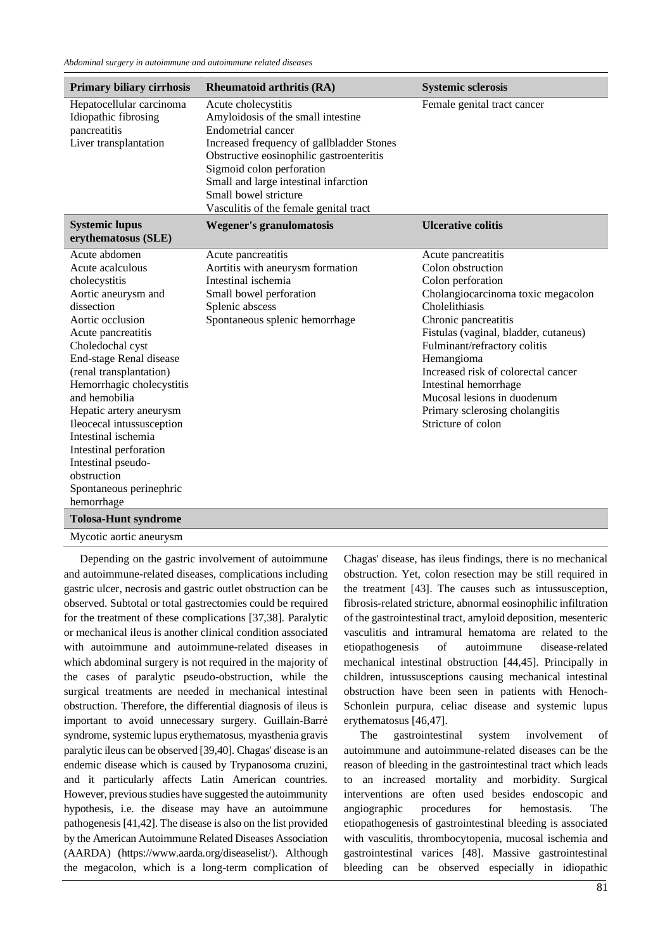| <b>Primary biliary cirrhosis</b>                                                                                                                         | <b>Rheumatoid arthritis (RA)</b>                                                                                                                                                                                                                                                                                  | <b>Systemic sclerosis</b>                                                                                                                                                             |
|----------------------------------------------------------------------------------------------------------------------------------------------------------|-------------------------------------------------------------------------------------------------------------------------------------------------------------------------------------------------------------------------------------------------------------------------------------------------------------------|---------------------------------------------------------------------------------------------------------------------------------------------------------------------------------------|
| Hepatocellular carcinoma<br>Idiopathic fibrosing<br>pancreatitis<br>Liver transplantation                                                                | Acute cholecystitis<br>Amyloidosis of the small intestine<br>Endometrial cancer<br>Increased frequency of gallbladder Stones<br>Obstructive eosinophilic gastroenteritis<br>Sigmoid colon perforation<br>Small and large intestinal infarction<br>Small bowel stricture<br>Vasculitis of the female genital tract | Female genital tract cancer                                                                                                                                                           |
| <b>Systemic lupus</b><br>erythematosus (SLE)                                                                                                             | <b>Wegener's granulomatosis</b>                                                                                                                                                                                                                                                                                   | <b>Ulcerative colitis</b>                                                                                                                                                             |
| Acute abdomen<br>Acute acalculous<br>cholecystitis<br>Aortic aneurysm and<br>dissection<br>Aortic occlusion<br>Acute pancreatitis                        | Acute pancreatitis<br>Aortitis with aneurysm formation<br>Intestinal ischemia<br>Small bowel perforation<br>Splenic abscess<br>Spontaneous splenic hemorrhage                                                                                                                                                     | Acute pancreatitis<br>Colon obstruction<br>Colon perforation<br>Cholangiocarcinoma toxic megacolon<br>Cholelithiasis<br>Chronic pancreatitis<br>Fistulas (vaginal, bladder, cutaneus) |
| Choledochal cyst<br>End-stage Renal disease<br>(renal transplantation)<br>Hemorrhagic cholecystitis<br>and hemobilia<br>Hepatic artery aneurysm          |                                                                                                                                                                                                                                                                                                                   | Fulminant/refractory colitis<br>Hemangioma<br>Increased risk of colorectal cancer<br>Intestinal hemorrhage<br>Mucosal lesions in duodenum<br>Primary sclerosing cholangitis           |
| Ileocecal intussusception<br>Intestinal ischemia<br>Intestinal perforation<br>Intestinal pseudo-<br>obstruction<br>Spontaneous perinephric<br>hemorrhage |                                                                                                                                                                                                                                                                                                                   | Stricture of colon                                                                                                                                                                    |
| <b>Tolosa-Hunt syndrome</b>                                                                                                                              |                                                                                                                                                                                                                                                                                                                   |                                                                                                                                                                                       |
| Mycotic aortic aneurysm                                                                                                                                  |                                                                                                                                                                                                                                                                                                                   |                                                                                                                                                                                       |

Depending on the gastric involvement of autoimmune and autoimmune-related diseases, complications including gastric ulcer, necrosis and gastric outlet obstruction can be observed. Subtotal or total gastrectomies could be required for the treatment of these complications [37,38]. Paralytic or mechanical ileus is another clinical condition associated with autoimmune and autoimmune-related diseases in which abdominal surgery is not required in the majority of the cases of paralytic pseudo-obstruction, while the surgical treatments are needed in mechanical intestinal obstruction. Therefore, the differential diagnosis of ileus is important to avoid unnecessary surgery. Guillain-Barré syndrome, systemic lupus erythematosus, myasthenia gravis paralytic ileus can be observed [39,40]. Chagas' disease is an endemic disease which is caused by Trypanosoma cruzini, and it particularly affects Latin American countries. However, previous studies have suggested the autoimmunity hypothesis, i.e. the disease may have an autoimmune pathogenesis [41,42]. The disease is also on the list provided by the American Autoimmune Related Diseases Association (AARDA) (https://www.aarda.org/diseaselist/). Although the megacolon, which is a long-term complication of Chagas' disease, has ileus findings, there is no mechanical obstruction. Yet, colon resection may be still required in the treatment [43]. The causes such as intussusception, fibrosis-related stricture, abnormal eosinophilic infiltration of the gastrointestinal tract, amyloid deposition, mesenteric vasculitis and intramural hematoma are related to the etiopathogenesis of autoimmune disease-related mechanical intestinal obstruction [44,45]. Principally in children, intussusceptions causing mechanical intestinal obstruction have been seen in patients with Henoch-Schonlein purpura, celiac disease and systemic lupus erythematosus [46,47].

The gastrointestinal system involvement of autoimmune and autoimmune-related diseases can be the reason of bleeding in the gastrointestinal tract which leads to an increased mortality and morbidity. Surgical interventions are often used besides endoscopic and angiographic procedures for hemostasis. The etiopathogenesis of gastrointestinal bleeding is associated with vasculitis, thrombocytopenia, mucosal ischemia and gastrointestinal varices [48]. Massive gastrointestinal bleeding can be observed especially in idiopathic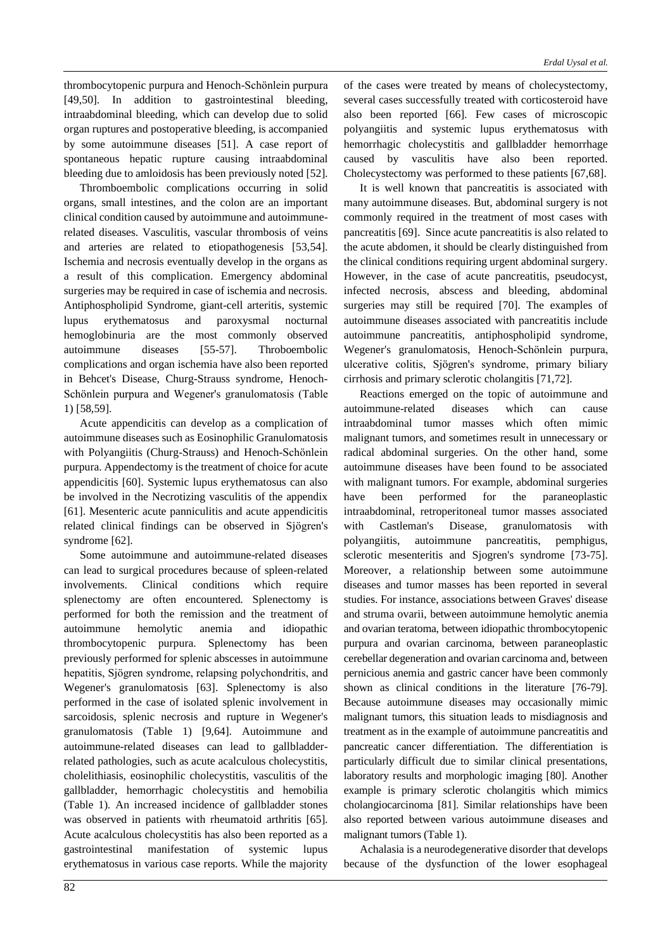thrombocytopenic purpura and Henoch-Schönlein purpura [49,50]. In addition to gastrointestinal bleeding, intraabdominal bleeding, which can develop due to solid organ ruptures and postoperative bleeding, is accompanied by some autoimmune diseases [51]. A case report of spontaneous hepatic rupture causing intraabdominal bleeding due to amloidosis has been previously noted [52].

Thromboembolic complications occurring in solid organs, small intestines, and the colon are an important clinical condition caused by autoimmune and autoimmunerelated diseases. Vasculitis, vascular thrombosis of veins and arteries are related to etiopathogenesis [53,54]. Ischemia and necrosis eventually develop in the organs as a result of this complication. Emergency abdominal surgeries may be required in case of ischemia and necrosis. Antiphospholipid Syndrome, giant-cell arteritis, systemic lupus erythematosus and paroxysmal nocturnal hemoglobinuria are the most commonly observed autoimmune diseases [55-57]. Throboembolic complications and organ ischemia have also been reported in Behcet's Disease, Churg-Strauss syndrome, Henoch-Schönlein purpura and Wegener's granulomatosis (Table 1) [58,59].

Acute appendicitis can develop as a complication of autoimmune diseases such as Eosinophilic Granulomatosis with Polyangiitis (Churg-Strauss) and Henoch-Schönlein purpura. Appendectomy is the treatment of choice for acute appendicitis [60]. Systemic lupus erythematosus can also be involved in the Necrotizing vasculitis of the appendix [61]. Mesenteric acute panniculitis and acute appendicitis related clinical findings can be observed in Sjögren's syndrome [62].

Some autoimmune and autoimmune-related diseases can lead to surgical procedures because of spleen-related involvements. Clinical conditions which require splenectomy are often encountered. Splenectomy is performed for both the remission and the treatment of autoimmune hemolytic anemia and idiopathic thrombocytopenic purpura. Splenectomy has been previously performed for splenic abscesses in autoimmune hepatitis, Sjögren syndrome, relapsing polychondritis, and Wegener's granulomatosis [63]. Splenectomy is also performed in the case of isolated splenic involvement in sarcoidosis, splenic necrosis and rupture in Wegener's granulomatosis (Table 1) [9,64]. Autoimmune and autoimmune-related diseases can lead to gallbladderrelated pathologies, such as acute acalculous cholecystitis, cholelithiasis, eosinophilic cholecystitis, vasculitis of the gallbladder, hemorrhagic cholecystitis and hemobilia (Table 1). An increased incidence of gallbladder stones was observed in patients with rheumatoid arthritis [65]. Acute acalculous cholecystitis has also been reported as a gastrointestinal manifestation of systemic lupus erythematosus in various case reports. While the majority of the cases were treated by means of cholecystectomy, several cases successfully treated with corticosteroid have also been reported [66]. Few cases of microscopic polyangiitis and systemic lupus erythematosus with hemorrhagic cholecystitis and gallbladder hemorrhage caused by vasculitis have also been reported. Cholecystectomy was performed to these patients [67,68].

It is well known that pancreatitis is associated with many autoimmune diseases. But, abdominal surgery is not commonly required in the treatment of most cases with pancreatitis [69]. Since acute pancreatitis is also related to the acute abdomen, it should be clearly distinguished from the clinical conditions requiring urgent abdominal surgery. However, in the case of acute pancreatitis, pseudocyst, infected necrosis, abscess and bleeding, abdominal surgeries may still be required [70]. The examples of autoimmune diseases associated with pancreatitis include autoimmune pancreatitis, antiphospholipid syndrome, Wegener's granulomatosis, Henoch-Schönlein purpura, ulcerative colitis, Sjögren's syndrome, primary biliary cirrhosis and primary sclerotic cholangitis [71,72].

Reactions emerged on the topic of autoimmune and autoimmune-related diseases which can cause intraabdominal tumor masses which often mimic malignant tumors, and sometimes result in unnecessary or radical abdominal surgeries. On the other hand, some autoimmune diseases have been found to be associated with malignant tumors. For example, abdominal surgeries have been performed for the paraneoplastic intraabdominal, retroperitoneal tumor masses associated with Castleman's Disease, granulomatosis with polyangiitis, autoimmune pancreatitis, pemphigus, sclerotic mesenteritis and Sjogren's syndrome [73-75]. Moreover, a relationship between some autoimmune diseases and tumor masses has been reported in several studies. For instance, associations between Graves' disease and struma ovarii, between autoimmune hemolytic anemia and ovarian teratoma, between idiopathic thrombocytopenic purpura and ovarian carcinoma, between paraneoplastic cerebellar degeneration and ovarian carcinoma and, between pernicious anemia and gastric cancer have been commonly shown as clinical conditions in the literature [76-79]. Because autoimmune diseases may occasionally mimic malignant tumors, this situation leads to misdiagnosis and treatment as in the example of autoimmune pancreatitis and pancreatic cancer differentiation. The differentiation is particularly difficult due to similar clinical presentations, laboratory results and morphologic imaging [80]. Another example is primary sclerotic cholangitis which mimics cholangiocarcinoma [81]. Similar relationships have been also reported between various autoimmune diseases and malignant tumors (Table 1).

Achalasia is a neurodegenerative disorder that develops because of the dysfunction of the lower esophageal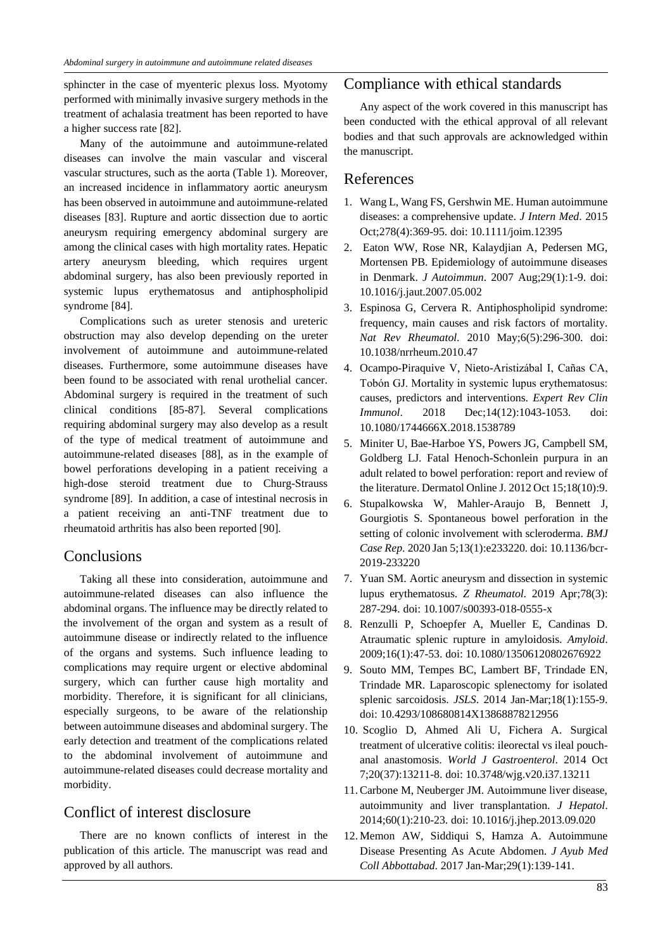sphincter in the case of myenteric plexus loss. Myotomy performed with minimally invasive surgery methods in the treatment of achalasia treatment has been reported to have a higher success rate [82].

Many of the autoimmune and autoimmune-related diseases can involve the main vascular and visceral vascular structures, such as the aorta (Table 1). Moreover, an increased incidence in inflammatory aortic aneurysm has been observed in autoimmune and autoimmune-related diseases [83]. Rupture and aortic dissection due to aortic aneurysm requiring emergency abdominal surgery are among the clinical cases with high mortality rates. Hepatic artery aneurysm bleeding, which requires urgent abdominal surgery, has also been previously reported in systemic lupus erythematosus and antiphospholipid syndrome [84].

Complications such as ureter stenosis and ureteric obstruction may also develop depending on the ureter involvement of autoimmune and autoimmune-related diseases. Furthermore, some autoimmune diseases have been found to be associated with renal urothelial cancer. Abdominal surgery is required in the treatment of such clinical conditions [85-87]. Several complications requiring abdominal surgery may also develop as a result of the type of medical treatment of autoimmune and autoimmune-related diseases [88], as in the example of bowel perforations developing in a patient receiving a high-dose steroid treatment due to Churg-Strauss syndrome [89]. In addition, a case of intestinal necrosis in a patient receiving an anti-TNF treatment due to rheumatoid arthritis has also been reported [90].

### Conclusions

Taking all these into consideration, autoimmune and autoimmune-related diseases can also influence the abdominal organs. The influence may be directly related to the involvement of the organ and system as a result of autoimmune disease or indirectly related to the influence of the organs and systems. Such influence leading to complications may require urgent or elective abdominal surgery, which can further cause high mortality and morbidity. Therefore, it is significant for all clinicians, especially surgeons, to be aware of the relationship between autoimmune diseases and abdominal surgery. The early detection and treatment of the complications related to the abdominal involvement of autoimmune and autoimmune-related diseases could decrease mortality and morbidity.

## Conflict of interest disclosure

There are no known conflicts of interest in the publication of this article. The manuscript was read and approved by all authors.

## Compliance with ethical standards

Any aspect of the work covered in this manuscript has been conducted with the ethical approval of all relevant bodies and that such approvals are acknowledged within the manuscript.

### References

- 1. Wang L, Wang FS, Gershwin ME. Human autoimmune diseases: a comprehensive update. *J Intern Med*. 2015 Oct;278(4):369-95. doi: 10.1111/joim.12395
- 2. Eaton WW, Rose NR, Kalaydjian A, Pedersen MG, Mortensen PB. Epidemiology of autoimmune diseases in Denmark. *J Autoimmun*. 2007 Aug;29(1):1-9. doi: 10.1016/j.jaut.2007.05.002
- 3. Espinosa G, Cervera R. Antiphospholipid syndrome: frequency, main causes and risk factors of mortality. *Nat Rev Rheumatol*. 2010 May;6(5):296-300. doi: 10.1038/nrrheum.2010.47
- 4. Ocampo-Piraquive V, Nieto-Aristizábal I, Cañas CA, Tobón GJ. Mortality in systemic lupus erythematosus: causes, predictors and interventions. *Expert Rev Clin Immunol*. 2018 Dec;14(12):1043-1053. doi: 10.1080/1744666X.2018.1538789
- 5. Miniter U, Bae-Harboe YS, Powers JG, Campbell SM, Goldberg LJ. Fatal Henoch-Schonlein purpura in an adult related to bowel perforation: report and review of the literature. Dermatol Online J. 2012 Oct 15;18(10):9.
- 6. Stupalkowska W, Mahler-Araujo B, Bennett J, Gourgiotis S. Spontaneous bowel perforation in the setting of colonic involvement with scleroderma. *BMJ Case Rep*. 2020 Jan 5;13(1):e233220. doi: 10.1136/bcr-2019-233220
- 7. Yuan SM. Aortic aneurysm and dissection in systemic lupus erythematosus. *Z Rheumatol*. 2019 Apr;78(3): 287-294. doi: 10.1007/s00393-018-0555-x
- 8. Renzulli P, Schoepfer A, Mueller E, Candinas D. Atraumatic splenic rupture in amyloidosis. *Amyloid*. 2009;16(1):47-53. doi: 10.1080/13506120802676922
- 9. Souto MM, Tempes BC, Lambert BF, Trindade EN, Trindade MR. Laparoscopic splenectomy for isolated splenic sarcoidosis. *JSLS*. 2014 Jan-Mar;18(1):155-9. doi: 10.4293/108680814X13868878212956
- 10. Scoglio D, Ahmed Ali U, Fichera A. Surgical treatment of ulcerative colitis: ileorectal vs ileal pouchanal anastomosis. *World J Gastroenterol*. 2014 Oct 7;20(37):13211-8. doi: 10.3748/wjg.v20.i37.13211
- 11. Carbone M, Neuberger JM. Autoimmune liver disease, autoimmunity and liver transplantation. *J Hepatol*. 2014;60(1):210-23. doi: 10.1016/j.jhep.2013.09.020
- 12. Memon AW, Siddiqui S, Hamza A. Autoimmune Disease Presenting As Acute Abdomen. *J Ayub Med Coll Abbottabad*. 2017 Jan-Mar;29(1):139-141.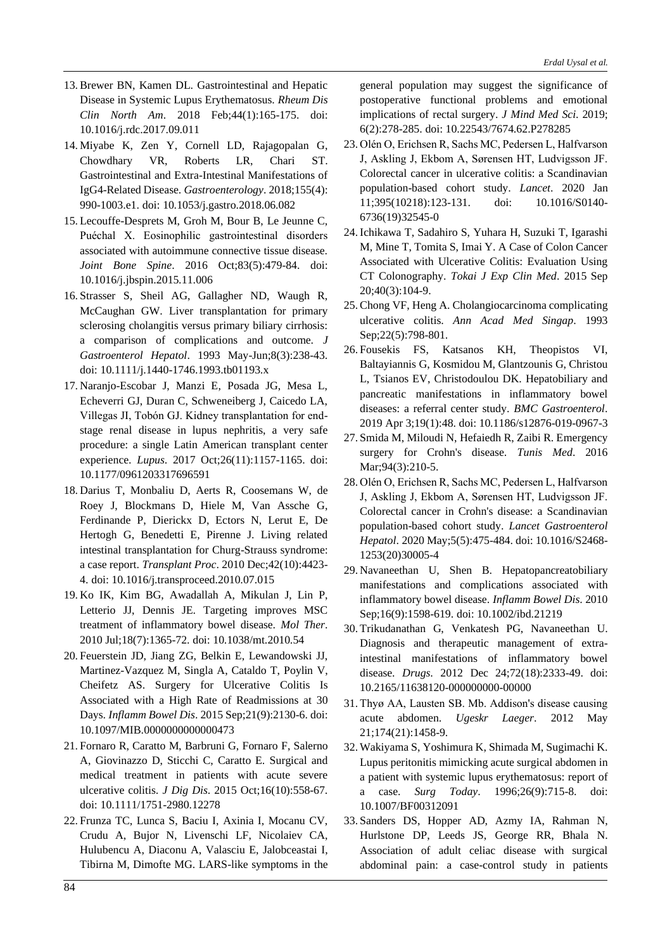- 13. Brewer BN, Kamen DL. Gastrointestinal and Hepatic Disease in Systemic Lupus Erythematosus. *Rheum Dis Clin North Am*. 2018 Feb;44(1):165-175. doi: 10.1016/j.rdc.2017.09.011
- 14. Miyabe K, Zen Y, Cornell LD, Rajagopalan G, Chowdhary VR, Roberts LR, Chari ST. Gastrointestinal and Extra-Intestinal Manifestations of IgG4-Related Disease. *Gastroenterology*. 2018;155(4): 990-1003.e1. doi: 10.1053/j.gastro.2018.06.082
- 15. Lecouffe-Desprets M, Groh M, Bour B, Le Jeunne C, Puéchal X. Eosinophilic gastrointestinal disorders associated with autoimmune connective tissue disease. *Joint Bone Spine*. 2016 Oct;83(5):479-84. doi: 10.1016/j.jbspin.2015.11.006
- 16.Strasser S, Sheil AG, Gallagher ND, Waugh R, McCaughan GW. Liver transplantation for primary sclerosing cholangitis versus primary biliary cirrhosis: a comparison of complications and outcome. *J Gastroenterol Hepatol*. 1993 May-Jun;8(3):238-43. doi: 10.1111/j.1440-1746.1993.tb01193.x
- 17. Naranjo-Escobar J, Manzi E, Posada JG, Mesa L, Echeverri GJ, Duran C, Schweneiberg J, Caicedo LA, Villegas JI, Tobón GJ. Kidney transplantation for endstage renal disease in lupus nephritis, a very safe procedure: a single Latin American transplant center experience. *Lupus*. 2017 Oct;26(11):1157-1165. doi: 10.1177/0961203317696591
- 18. Darius T, Monbaliu D, Aerts R, Coosemans W, de Roey J, Blockmans D, Hiele M, Van Assche G, Ferdinande P, Dierickx D, Ectors N, Lerut E, De Hertogh G, Benedetti E, Pirenne J. Living related intestinal transplantation for Churg-Strauss syndrome: a case report. *Transplant Proc*. 2010 Dec;42(10):4423- 4. doi: 10.1016/j.transproceed.2010.07.015
- 19. Ko IK, Kim BG, Awadallah A, Mikulan J, Lin P, Letterio JJ, Dennis JE. Targeting improves MSC treatment of inflammatory bowel disease. *Mol Ther*. 2010 Jul;18(7):1365-72. doi: 10.1038/mt.2010.54
- 20.Feuerstein JD, Jiang ZG, Belkin E, Lewandowski JJ, Martinez-Vazquez M, Singla A, Cataldo T, Poylin V, Cheifetz AS. Surgery for Ulcerative Colitis Is Associated with a High Rate of Readmissions at 30 Days. *Inflamm Bowel Dis*. 2015 Sep;21(9):2130-6. doi: 10.1097/MIB.0000000000000473
- 21.Fornaro R, Caratto M, Barbruni G, Fornaro F, Salerno A, Giovinazzo D, Sticchi C, Caratto E. Surgical and medical treatment in patients with acute severe ulcerative colitis. *J Dig Dis*. 2015 Oct;16(10):558-67. doi: 10.1111/1751-2980.12278
- 22.Frunza TC, Lunca S, Baciu I, Axinia I, Mocanu CV, Crudu A, Bujor N, Livenschi LF, Nicolaiev CA, Hulubencu A, Diaconu A, Valasciu E, Jalobceastai I, Tibirna M, Dimofte MG. LARS-like symptoms in the

general population may suggest the significance of postoperative functional problems and emotional implications of rectal surgery. *J Mind Med Sci*. 2019; 6(2):278-285. doi: 10.22543/7674.62.P278285

- 23. Olén O, Erichsen R, Sachs MC, Pedersen L, Halfvarson J, Askling J, Ekbom A, Sørensen HT, Ludvigsson JF. Colorectal cancer in ulcerative colitis: a Scandinavian population-based cohort study. *Lancet*. 2020 Jan 11;395(10218):123-131. doi: 10.1016/S0140- 6736(19)32545-0
- 24. Ichikawa T, Sadahiro S, Yuhara H, Suzuki T, Igarashi M, Mine T, Tomita S, Imai Y. A Case of Colon Cancer Associated with Ulcerative Colitis: Evaluation Using CT Colonography. *Tokai J Exp Clin Med*. 2015 Sep 20;40(3):104-9.
- 25. Chong VF, Heng A. Cholangiocarcinoma complicating ulcerative colitis. *Ann Acad Med Singap*. 1993 Sep;22(5):798-801.
- 26.Fousekis FS, Katsanos KH, Theopistos VI, Baltayiannis G, Kosmidou M, Glantzounis G, Christou L, Tsianos EV, Christodoulou DK. Hepatobiliary and pancreatic manifestations in inflammatory bowel diseases: a referral center study. *BMC Gastroenterol*. 2019 Apr 3;19(1):48. doi: 10.1186/s12876-019-0967-3
- 27.Smida M, Miloudi N, Hefaiedh R, Zaibi R. Emergency surgery for Crohn's disease. *Tunis Med*. 2016 Mar; 94(3): 210-5.
- 28. Olén O, Erichsen R, Sachs MC, Pedersen L, Halfvarson J, Askling J, Ekbom A, Sørensen HT, Ludvigsson JF. Colorectal cancer in Crohn's disease: a Scandinavian population-based cohort study. *Lancet Gastroenterol Hepatol*. 2020 May;5(5):475-484. doi: 10.1016/S2468- 1253(20)30005-4
- 29. Navaneethan U, Shen B. Hepatopancreatobiliary manifestations and complications associated with inflammatory bowel disease. *Inflamm Bowel Dis*. 2010 Sep;16(9):1598-619. doi: 10.1002/ibd.21219
- 30. Trikudanathan G, Venkatesh PG, Navaneethan U. Diagnosis and therapeutic management of extraintestinal manifestations of inflammatory bowel disease. *Drugs*. 2012 Dec 24;72(18):2333-49. doi: 10.2165/11638120-000000000-00000
- 31. Thyø AA, Lausten SB. Mb. Addison's disease causing acute abdomen. *Ugeskr Laeger*. 2012 May 21;174(21):1458-9.
- 32. Wakiyama S, Yoshimura K, Shimada M, Sugimachi K. Lupus peritonitis mimicking acute surgical abdomen in a patient with systemic lupus erythematosus: report of a case. *Surg Today*. 1996;26(9):715-8. doi: 10.1007/BF00312091
- 33.Sanders DS, Hopper AD, Azmy IA, Rahman N, Hurlstone DP, Leeds JS, George RR, Bhala N. Association of adult celiac disease with surgical abdominal pain: a case-control study in patients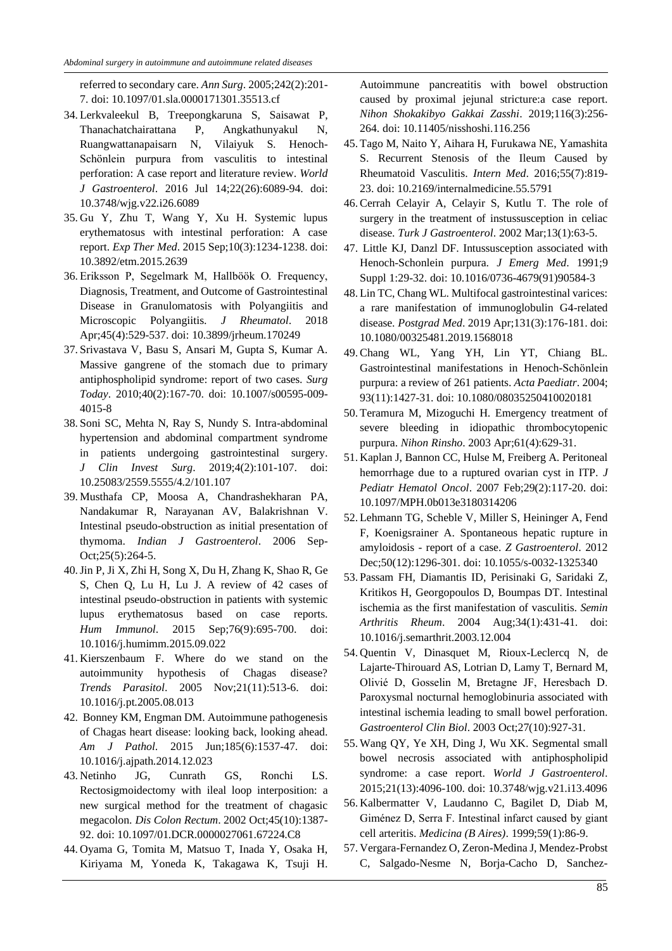referred to secondary care. *Ann Surg*. 2005;242(2):201- 7. doi: 10.1097/01.sla.0000171301.35513.cf

- 34. Lerkvaleekul B, Treepongkaruna S, Saisawat P, Thanachatchairattana P, Angkathunyakul N, Ruangwattanapaisarn N, Vilaiyuk S. Henoch-Schönlein purpura from vasculitis to intestinal perforation: A case report and literature review. *World J Gastroenterol*. 2016 Jul 14;22(26):6089-94. doi: 10.3748/wjg.v22.i26.6089
- 35. Gu Y, Zhu T, Wang Y, Xu H. Systemic lupus erythematosus with intestinal perforation: A case report. *Exp Ther Med*. 2015 Sep;10(3):1234-1238. doi: 10.3892/etm.2015.2639
- 36. Eriksson P, Segelmark M, Hallböök O. Frequency, Diagnosis, Treatment, and Outcome of Gastrointestinal Disease in Granulomatosis with Polyangiitis and Microscopic Polyangiitis. *J Rheumatol*. 2018 Apr;45(4):529-537. doi: 10.3899/jrheum.170249
- 37.Srivastava V, Basu S, Ansari M, Gupta S, Kumar A. Massive gangrene of the stomach due to primary antiphospholipid syndrome: report of two cases. *Surg Today*. 2010;40(2):167-70. doi: 10.1007/s00595-009- 4015-8
- 38.Soni SC, Mehta N, Ray S, Nundy S. Intra-abdominal hypertension and abdominal compartment syndrome in patients undergoing gastrointestinal surgery. *J Clin Invest Surg*. 2019;4(2):101-107. doi: 10.25083/2559.5555/4.2/101.107
- 39. Musthafa CP, Moosa A, Chandrashekharan PA, Nandakumar R, Narayanan AV, Balakrishnan V. Intestinal pseudo-obstruction as initial presentation of thymoma. *Indian J Gastroenterol*. 2006 Sep-Oct;25(5):264-5.
- 40.Jin P, Ji X, Zhi H, Song X, Du H, Zhang K, Shao R, Ge S, Chen Q, Lu H, Lu J. A review of 42 cases of intestinal pseudo-obstruction in patients with systemic lupus erythematosus based on case reports. *Hum Immunol*. 2015 Sep;76(9):695-700. doi: 10.1016/j.humimm.2015.09.022
- 41. Kierszenbaum F. Where do we stand on the autoimmunity hypothesis of Chagas disease? *Trends Parasitol*. 2005 Nov;21(11):513-6. doi: 10.1016/j.pt.2005.08.013
- 42. Bonney KM, Engman DM. Autoimmune pathogenesis of Chagas heart disease: looking back, looking ahead. *Am J Pathol*. 2015 Jun;185(6):1537-47. doi: 10.1016/j.ajpath.2014.12.023
- 43. Netinho JG, Cunrath GS, Ronchi LS. Rectosigmoidectomy with ileal loop interposition: a new surgical method for the treatment of chagasic megacolon. *Dis Colon Rectum*. 2002 Oct;45(10):1387- 92. doi: 10.1097/01.DCR.0000027061.67224.C8
- 44. Oyama G, Tomita M, Matsuo T, Inada Y, Osaka H, Kiriyama M, Yoneda K, Takagawa K, Tsuji H.

Autoimmune pancreatitis with bowel obstruction caused by proximal jejunal stricture:a case report. *Nihon Shokakibyo Gakkai Zasshi*. 2019;116(3):256- 264. doi: 10.11405/nisshoshi.116.256

- 45. Tago M, Naito Y, Aihara H, Furukawa NE, Yamashita S. Recurrent Stenosis of the Ileum Caused by Rheumatoid Vasculitis. *Intern Med*. 2016;55(7):819- 23. doi: 10.2169/internalmedicine.55.5791
- 46. Cerrah Celayir A, Celayir S, Kutlu T. The role of surgery in the treatment of instussusception in celiac disease. *Turk J Gastroenterol*. 2002 Mar;13(1):63-5.
- 47. Little KJ, Danzl DF. Intussusception associated with Henoch-Schonlein purpura. *J Emerg Med*. 1991;9 Suppl 1:29-32. doi: 10.1016/0736-4679(91)90584-3
- 48. Lin TC, Chang WL. Multifocal gastrointestinal varices: a rare manifestation of immunoglobulin G4-related disease. *Postgrad Med*. 2019 Apr;131(3):176-181. doi: 10.1080/00325481.2019.1568018
- 49. Chang WL, Yang YH, Lin YT, Chiang BL. Gastrointestinal manifestations in Henoch-Schönlein purpura: a review of 261 patients. *Acta Paediatr*. 2004; 93(11):1427-31. doi: 10.1080/08035250410020181
- 50. Teramura M, Mizoguchi H. Emergency treatment of severe bleeding in idiopathic thrombocytopenic purpura. *Nihon Rinsho*. 2003 Apr;61(4):629-31.
- 51. Kaplan J, Bannon CC, Hulse M, Freiberg A. Peritoneal hemorrhage due to a ruptured ovarian cyst in ITP. *J Pediatr Hematol Oncol*. 2007 Feb;29(2):117-20. doi: 10.1097/MPH.0b013e3180314206
- 52. Lehmann TG, Scheble V, Miller S, Heininger A, Fend F, Koenigsrainer A. Spontaneous hepatic rupture in amyloidosis - report of a case. *Z Gastroenterol*. 2012 Dec;50(12):1296-301. doi: 10.1055/s-0032-1325340
- 53.Passam FH, Diamantis ID, Perisinaki G, Saridaki Z, Kritikos H, Georgopoulos D, Boumpas DT. Intestinal ischemia as the first manifestation of vasculitis. *Semin Arthritis Rheum*. 2004 Aug;34(1):431-41. doi: 10.1016/j.semarthrit.2003.12.004
- 54. Quentin V, Dinasquet M, Rioux-Leclercq N, de Lajarte-Thirouard AS, Lotrian D, Lamy T, Bernard M, Olivié D, Gosselin M, Bretagne JF, Heresbach D. Paroxysmal nocturnal hemoglobinuria associated with intestinal ischemia leading to small bowel perforation. *Gastroenterol Clin Biol*. 2003 Oct;27(10):927-31.
- 55. Wang QY, Ye XH, Ding J, Wu XK. Segmental small bowel necrosis associated with antiphospholipid syndrome: a case report. *World J Gastroenterol*. 2015;21(13):4096-100. doi: 10.3748/wjg.v21.i13.4096
- 56. Kalbermatter V, Laudanno C, Bagilet D, Diab M, Giménez D, Serra F. Intestinal infarct caused by giant cell arteritis. *Medicina (B Aires)*. 1999;59(1):86-9.
- 57. Vergara-Fernandez O, Zeron-Medina J, Mendez-Probst C, Salgado-Nesme N, Borja-Cacho D, Sanchez-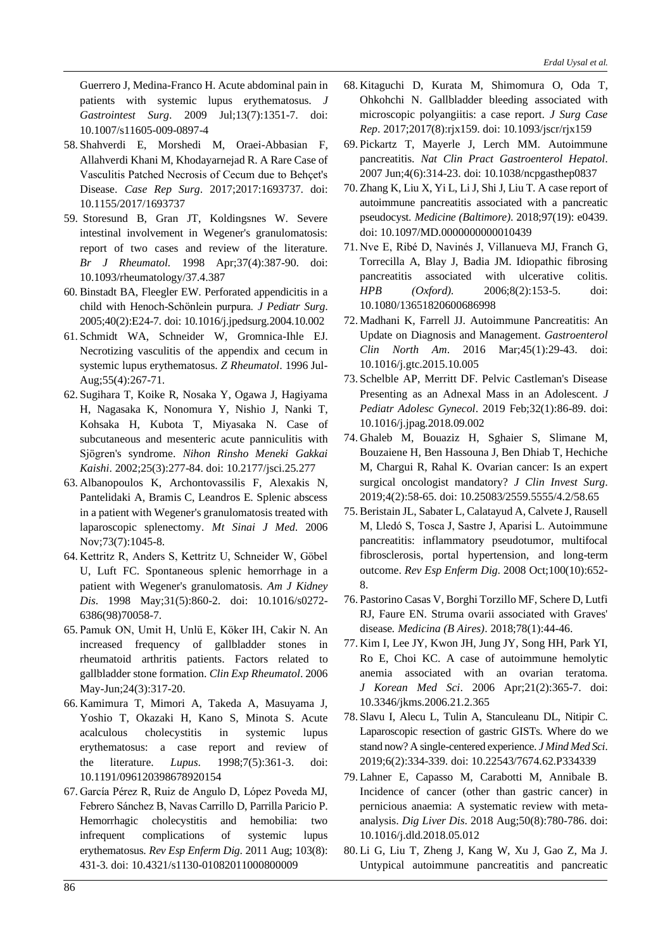Guerrero J, Medina-Franco H. Acute abdominal pain in patients with systemic lupus erythematosus. *J Gastrointest Surg*. 2009 Jul;13(7):1351-7. doi: 10.1007/s11605-009-0897-4

- 58.Shahverdi E, Morshedi M, Oraei-Abbasian F, Allahverdi Khani M, Khodayarnejad R. A Rare Case of Vasculitis Patched Necrosis of Cecum due to Behçet's Disease. *Case Rep Surg*. 2017;2017:1693737. doi: 10.1155/2017/1693737
- 59. Storesund B, Gran JT, Koldingsnes W. Severe intestinal involvement in Wegener's granulomatosis: report of two cases and review of the literature. *Br J Rheumatol.* 1998 Apr;37(4):387-90. doi: 10.1093/rheumatology/37.4.387
- 60. Binstadt BA, Fleegler EW. Perforated appendicitis in a child with Henoch-Schönlein purpura. *J Pediatr Surg*. 2005;40(2):E24-7. doi: 10.1016/j.jpedsurg.2004.10.002
- 61.Schmidt WA, Schneider W, Gromnica-Ihle EJ. Necrotizing vasculitis of the appendix and cecum in systemic lupus erythematosus. *Z Rheumatol*. 1996 Jul-Aug;55(4):267-71.
- 62.Sugihara T, Koike R, Nosaka Y, Ogawa J, Hagiyama H, Nagasaka K, Nonomura Y, Nishio J, Nanki T, Kohsaka H, Kubota T, Miyasaka N. Case of subcutaneous and mesenteric acute panniculitis with Sjögren's syndrome. *Nihon Rinsho Meneki Gakkai Kaishi*. 2002;25(3):277-84. doi: 10.2177/jsci.25.277
- 63. Albanopoulos K, Archontovassilis F, Alexakis N, Pantelidaki A, Bramis C, Leandros E. Splenic abscess in a patient with Wegener's granulomatosis treated with laparoscopic splenectomy. *Mt Sinai J Med*. 2006 Nov;73(7):1045-8.
- 64. Kettritz R, Anders S, Kettritz U, Schneider W, Göbel U, Luft FC. Spontaneous splenic hemorrhage in a patient with Wegener's granulomatosis. *Am J Kidney Dis*. 1998 May;31(5):860-2. doi: 10.1016/s0272- 6386(98)70058-7.
- 65.Pamuk ON, Umit H, Unlü E, Köker IH, Cakir N. An increased frequency of gallbladder stones in rheumatoid arthritis patients. Factors related to gallbladder stone formation. *Clin Exp Rheumatol*. 2006 May-Jun;24(3):317-20.
- 66. Kamimura T, Mimori A, Takeda A, Masuyama J, Yoshio T, Okazaki H, Kano S, Minota S. Acute acalculous cholecystitis in systemic lupus erythematosus: a case report and review of the literature. *Lupus*. 1998;7(5):361-3. doi: 10.1191/096120398678920154
- 67. García Pérez R, Ruiz de Angulo D, López Poveda MJ, Febrero Sánchez B, Navas Carrillo D, Parrilla Paricio P. Hemorrhagic cholecystitis and hemobilia: two infrequent complications of systemic lupus erythematosus. *Rev Esp Enferm Dig*. 2011 Aug; 103(8): 431-3. doi: 10.4321/s1130-01082011000800009
- 68. Kitaguchi D, Kurata M, Shimomura O, Oda T, Ohkohchi N. Gallbladder bleeding associated with microscopic polyangiitis: a case report. *J Surg Case Rep*. 2017;2017(8):rjx159. doi: 10.1093/jscr/rjx159
- 69.Pickartz T, Mayerle J, Lerch MM. Autoimmune pancreatitis. *Nat Clin Pract Gastroenterol Hepatol*. 2007 Jun;4(6):314-23. doi: 10.1038/ncpgasthep0837
- 70. Zhang K, Liu X, Yi L, Li J, Shi J, Liu T. A case report of autoimmune pancreatitis associated with a pancreatic pseudocyst. *Medicine (Baltimore)*. 2018;97(19): e0439. doi: 10.1097/MD.0000000000010439
- 71. Nve E, Ribé D, Navinés J, Villanueva MJ, Franch G, Torrecilla A, Blay J, Badia JM. Idiopathic fibrosing pancreatitis associated with ulcerative colitis. *HPB (Oxford).* 2006;8(2):153-5. doi: 10.1080/13651820600686998
- 72. Madhani K, Farrell JJ. Autoimmune Pancreatitis: An Update on Diagnosis and Management. *Gastroenterol Clin North Am*. 2016 Mar;45(1):29-43. doi: 10.1016/j.gtc.2015.10.005
- 73.Schelble AP, Merritt DF. Pelvic Castleman's Disease Presenting as an Adnexal Mass in an Adolescent. *J Pediatr Adolesc Gynecol*. 2019 Feb;32(1):86-89. doi: 10.1016/j.jpag.2018.09.002
- 74. Ghaleb M, Bouaziz H, Sghaier S, Slimane M, Bouzaiene H, Ben Hassouna J, Ben Dhiab T, Hechiche M, Chargui R, Rahal K. Ovarian cancer: Is an expert surgical oncologist mandatory? *J Clin Invest Surg*. 2019;4(2):58-65. doi: 10.25083/2559.5555/4.2/58.65
- 75. Beristain JL, Sabater L, Calatayud A, Calvete J, Rausell M, Lledó S, Tosca J, Sastre J, Aparisi L. Autoimmune pancreatitis: inflammatory pseudotumor, multifocal fibrosclerosis, portal hypertension, and long-term outcome. *Rev Esp Enferm Dig*. 2008 Oct;100(10):652- 8.
- 76.Pastorino Casas V, Borghi Torzillo MF, Schere D, Lutfi RJ, Faure EN. Struma ovarii associated with Graves' disease*. Medicina (B Aires)*. 2018;78(1):44-46.
- 77. Kim I, Lee JY, Kwon JH, Jung JY, Song HH, Park YI, Ro E, Choi KC. A case of autoimmune hemolytic anemia associated with an ovarian teratoma. *J Korean Med Sci*. 2006 Apr;21(2):365-7. doi: 10.3346/jkms.2006.21.2.365
- 78.Slavu I, Alecu L, Tulin A, Stanculeanu DL, Nitipir C. Laparoscopic resection of gastric GISTs. Where do we stand now? A single-centered experience. *J Mind Med Sci*. 2019;6(2):334-339. doi: 10.22543/7674.62.P334339
- 79. Lahner E, Capasso M, Carabotti M, Annibale B. Incidence of cancer (other than gastric cancer) in pernicious anaemia: A systematic review with metaanalysis. *Dig Liver Dis*. 2018 Aug;50(8):780-786. doi: 10.1016/j.dld.2018.05.012
- 80. Li G, Liu T, Zheng J, Kang W, Xu J, Gao Z, Ma J. Untypical autoimmune pancreatitis and pancreatic